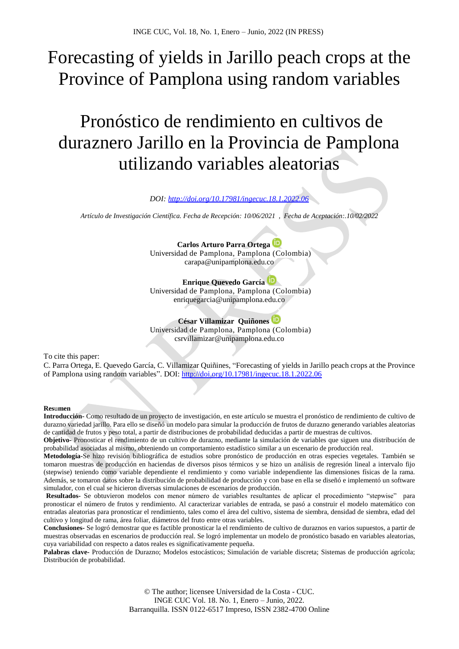# Forecasting of yields in Jarillo peach crops at the Province of Pamplona using random variables

# Pronóstico de rendimiento en cultivos de duraznero Jarillo en la Provincia de Pamplona utilizando variables aleatorias

*DOI: <http://doi.org/10.17981/ingecuc.18.1.2022.06>*

*Artículo de Investigación Científica. Fecha de Recepción: 10/06/2021 , Fecha de Aceptación:.10/02/2022*

**Carlos Arturo Parra Ortega** Universidad de Pamplona, Pamplona (Colombia) carapa@unipamplona.edu.co

# **Enrique Quevedo García**

Universidad de Pamplona, Pamplona (Colombia) enriquegarcia@unipamplona.edu.co

# **César Villamizar Quiñones**

Universidad de Pamplona, Pamplona (Colombia) csrvillamizar@unipamplona.edu.co

To cite this paper:

C. Parra Ortega, E. Quevedo García, C. Villamizar Quiñines, "Forecasting of yields in Jarillo peach crops at the Province of Pamplona using random variables". DOI:<http://doi.org/10.17981/ingecuc.18.1.2022.06>

# **Res**u**men**

**Introducción-** Como resultado de un proyecto de investigación, en este artículo se muestra el pronóstico de rendimiento de cultivo de durazno variedad jarillo. Para ello se diseñó un modelo para simular la producción de frutos de durazno generando variables aleatorias de cantidad de frutos y peso total, a partir de distribuciones de probabilidad deducidas a partir de muestras de cultivos.

**Objetivo-** Pronosticar el rendimiento de un cultivo de durazno, mediante la simulación de variables que siguen una distribución de probabilidad asociadas al mismo, obteniendo un comportamiento estadístico similar a un escenario de producción real.

**Metodología-**Se hizo revisión bibliográfica de estudios sobre pronóstico de producción en otras especies vegetales. También se tomaron muestras de producción en haciendas de diversos pisos térmicos y se hizo un análisis de regresión lineal a intervalo fijo (stepwise) teniendo como variable dependiente el rendimiento y como variable independiente las dimensiones físicas de la rama. Además, se tomaron datos sobre la distribución de probabilidad de producción y con base en ella se diseñó e implementó un software simulador, con el cual se hicieron diversas simulaciones de escenarios de producción.

**Resultados-** Se obtuvieron modelos con menor número de variables resultantes de aplicar el procedimiento "stepwise" para pronosticar el número de frutos y rendimiento. Al caracterizar variables de entrada, se pasó a construir el modelo matemático con entradas aleatorias para pronosticar el rendimiento, tales como el área del cultivo, sistema de siembra, densidad de siembra, edad del cultivo y longitud de rama, área foliar, diámetros del fruto entre otras variables.

**Conclusiones-** Se logró demostrar que es factible pronosticar la el rendimiento de cultivo de duraznos en varios supuestos, a partir de muestras observadas en escenarios de producción real. Se logró implementar un modelo de pronóstico basado en variables aleatorias, cuya variabilidad con respecto a datos reales es significativamente pequeña.

**Palabras clave-** Producción de Durazno; Modelos estocásticos; Simulación de variable discreta; Sistemas de producción agrícola; Distribución de probabilidad.

> © The author; licensee Universidad de la Costa - CUC. INGE CUC Vol. 18. No. 1, Enero – Junio, 2022. Barranquilla. ISSN 0122-6517 Impreso, ISSN 2382-4700 Online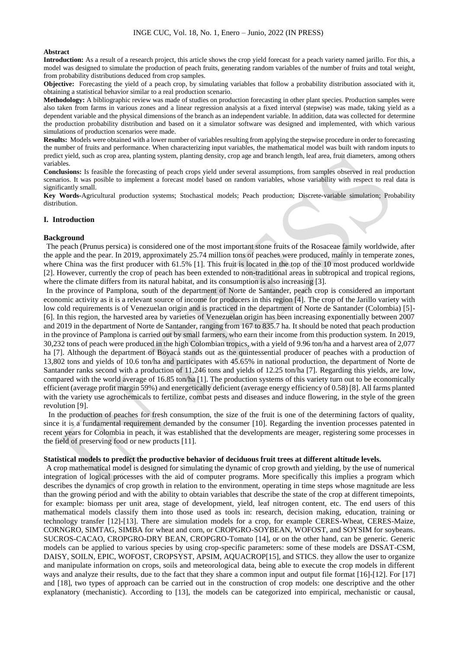#### **Abstract**

**Introduction:** As a result of a research project, this article shows the crop yield forecast for a peach variety named jarillo. For this, a model was designed to simulate the production of peach fruits, generating random variables of the number of fruits and total weight, from probability distributions deduced from crop samples.

**Objective:** Forecasting the yield of a peach crop, by simulating variables that follow a probability distribution associated with it, obtaining a statistical behavior similar to a real production scenario.

**Methodology:** A bibliographic review was made of studies on production forecasting in other plant species. Production samples were also taken from farms in various zones and a linear regression analysis at a fixed interval (stepwise) was made, taking yield as a dependent variable and the physical dimensions of the branch as an independent variable. In addition, data was collected for determine the production probability distribution and based on it a simulator software was designed and implemented, with which various simulations of production scenarios were made.

**Results:** Models were obtained with a lower number of variables resulting from applying the stepwise procedure in order to forecasting the number of fruits and performance. When characterizing input variables, the mathematical model was built with random inputs to predict yield, such as crop area, planting system, planting density, crop age and branch length, leaf area, fruit diameters, among others variables.

**Conclusions:** Is feasible the forecasting of peach crops yield under several assumptions, from samples observed in real production scenarios. It was posible to implement a forecast model based on random variables, whose variability with respect to real data is significantly small.

**Key Words-**Agricultural production systems; Stochastical models; Peach production; Discrete-variable simulation; Probability distribution.

#### **I. Introduction**

#### **Background**

The peach (Prunus persica) is considered one of the most important stone fruits of the Rosaceae family worldwide, after the apple and the pear. In 2019, approximately 25.74 million tons of peaches were produced, mainly in temperate zones, where China was the first producer with 61.5% [1]. This fruit is located in the top of the 10 most produced worldwide [2]. However, currently the crop of peach has been extended to non-traditional areas in subtropical and tropical regions, where the climate differs from its natural habitat, and its consumption is also increasing [3].

In the province of Pamplona, south of the department of Norte de Santander, peach crop is considered an important economic activity as it is a relevant source of income for producers in this region [4]. The crop of the Jarillo variety with low cold requirements is of Venezuelan origin and is practiced in the department of Norte de Santander (Colombia) [5]-[6]. In this region, the harvested area by varieties of Venezuelan origin has been increasing exponentially between 2007 and 2019 in the department of Norte de Santander, ranging from 167 to 835.7 ha. It should be noted that peach production in the province of Pamplona is carried out by small farmers, who earn their income from this production system. In 2019, 30,232 tons of peach were produced in the high Colombian tropics, with a yield of 9.96 ton/ha and a harvest area of 2,077 ha [7]. Although the department of Boyacá stands out as the quintessential producer of peaches with a production of 13,802 tons and yields of 10.6 ton/ha and participates with 45.65% in national production, the department of Norte de Santander ranks second with a production of 11,246 tons and yields of 12.25 ton/ha [7]. Regarding this yields, are low, compared with the world average of 16.85 ton/ha [1]. The production systems of this variety turn out to be economically efficient (average profit margin 59%) and energetically deficient (average energy efficiency of 0.58) [8]. All farms planted with the variety use agrochemicals to fertilize, combat pests and diseases and induce flowering, in the style of the green revolution [9].

In the production of peaches for fresh consumption, the size of the fruit is one of the determining factors of quality, since it is a fundamental requirement demanded by the consumer [10]. Regarding the invention processes patented in recent years for Colombia in peach, it was established that the developments are meager, registering some processes in the field of preserving food or new products [11].

# **Statistical models to predict the productive behavior of deciduous fruit trees at different altitude levels.**

A crop mathematical model is designed for simulating the dynamic of crop growth and yielding, by the use of numerical integration of logical processes with the aid of computer programs. More specifically this implies a program which describes the dynamics of crop growth in relation to the environment, operating in time steps whose magnitude are less than the growing period and with the ability to obtain variables that describe the state of the crop at different timepoints, for example: biomass per unit area, stage of development, yield, leaf nitrogen content, etc. The end users of this mathematical models classify them into those used as tools in: research, decision making, education, training or technology transfer [12]-[13]. There are simulation models for a crop, for example CERES-Wheat, CERES-Maize, CORNGRO, SIMTAG, SIMBA for wheat and corn, or CROPGRO-SOYBEAN, WOFOST, and SOYSIM for soybeans. SUCROS-CACAO, CROPGRO-DRY BEAN, CROPGRO-Tomato [14], or on the other hand, can be generic. Generic models can be applied to various species by using crop-specific parameters: some of these models are DSSAT-CSM, DAISY, SOILN, EPIC, WOFOST, CROPSYST, APSIM, AQUACROP[15], and STICS. they allow the user to organize and manipulate information on crops, soils and meteorological data, being able to execute the crop models in different ways and analyze their results, due to the fact that they share a common input and output file format [16]-[12]. For [17] and [18], two types of approach can be carried out in the construction of crop models: one descriptive and the other explanatory (mechanistic). According to [13], the models can be categorized into empirical, mechanistic or causal,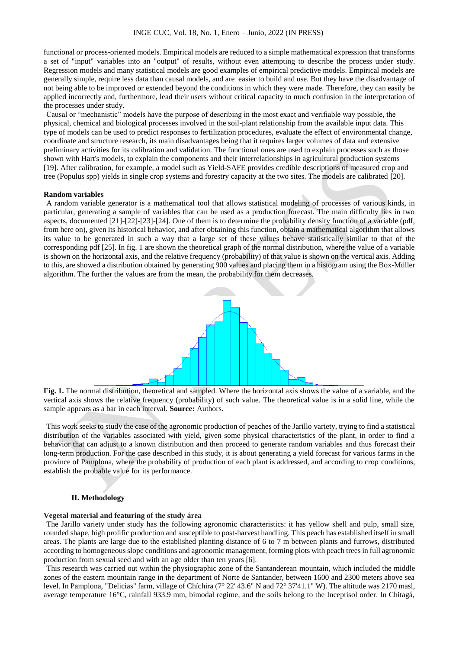functional or process-oriented models. Empirical models are reduced to a simple mathematical expression that transforms a set of "input" variables into an "output" of results, without even attempting to describe the process under study. Regression models and many statistical models are good examples of empirical predictive models. Empirical models are generally simple, require less data than causal models, and are easier to build and use. But they have the disadvantage of not being able to be improved or extended beyond the conditions in which they were made. Therefore, they can easily be applied incorrectly and, furthermore, lead their users without critical capacity to much confusion in the interpretation of the processes under study.

Causal or "mechanistic" models have the purpose of describing in the most exact and verifiable way possible, the physical, chemical and biological processes involved in the soil-plant relationship from the available input data. This type of models can be used to predict responses to fertilization procedures, evaluate the effect of environmental change, coordinate and structure research, its main disadvantages being that it requires larger volumes of data and extensive preliminary activities for its calibration and validation. The functional ones are used to explain processes such as those shown with Hart's models, to explain the components and their interrelationships in agricultural production systems [19]. After calibration, for example, a model such as Yield-SAFE provides credible descriptions of measured crop and tree (Populus spp) yields in single crop systems and forestry capacity at the two sites. The models are calibrated [20].

#### **Random variables**

A random variable generator is a mathematical tool that allows statistical modeling of processes of various kinds, in particular, generating a sample of variables that can be used as a production forecast. The main difficulty lies in two aspects, documented [21]-[22]-[23]-[24]. One of them is to determine the probability density function of a variable (pdf, from here on), given its historical behavior, and after obtaining this function, obtain a mathematical algorithm that allows its value to be generated in such a way that a large set of these values behave statistically similar to that of the corresponding pdf [25]. In fig. 1 are shown the theoretical graph of the normal distribution, where the value of a variable is shown on the horizontal axis, and the relative frequency (probability) of that value is shown on the vertical axis. Adding to this, are showed a distribution obtained by generating 900 values and placing them in a histogram using the Box-Müller algorithm. The further the values are from the mean, the probability for them decreases.



**Fig. 1.** The normal distribution, theoretical and sampled. Where the horizontal axis shows the value of a variable, and the vertical axis shows the relative frequency (probability) of such value. The theoretical value is in a solid line, while the sample appears as a bar in each interval. **Source:** Authors.

This work seeks to study the case of the agronomic production of peaches of the Jarillo variety, trying to find a statistical distribution of the variables associated with yield, given some physical characteristics of the plant, in order to find a behavior that can adjust to a known distribution and then proceed to generate random variables and thus forecast their long-term production. For the case described in this study, it is about generating a yield forecast for various farms in the province of Pamplona, where the probability of production of each plant is addressed, and according to crop conditions, establish the probable value for its performance.

#### **II. Methodology**

#### **Vegetal material and featuring of the study área**

The Jarillo variety under study has the following agronomic characteristics: it has yellow shell and pulp, small size, rounded shape, high prolific production and susceptible to post-harvest handling. This peach has established itself in small areas. The plants are large due to the established planting distance of 6 to 7 m between plants and furrows, distributed according to homogeneous slope conditions and agronomic management, forming plots with peach trees in full agronomic production from sexual seed and with an age older than ten years [6].

This research was carried out within the physiographic zone of the Santanderean mountain, which included the middle zones of the eastern mountain range in the department of Norte de Santander, between 1600 and 2300 meters above sea level. In Pamplona, "Delicias" farm, village of Chíchira (7° 22' 43.6" N and 72° 37'41.1" W). The altitude was 2170 masl, average temperature 16°C, rainfall 933.9 mm, bimodal regime, and the soils belong to the Inceptisol order. In Chitagá,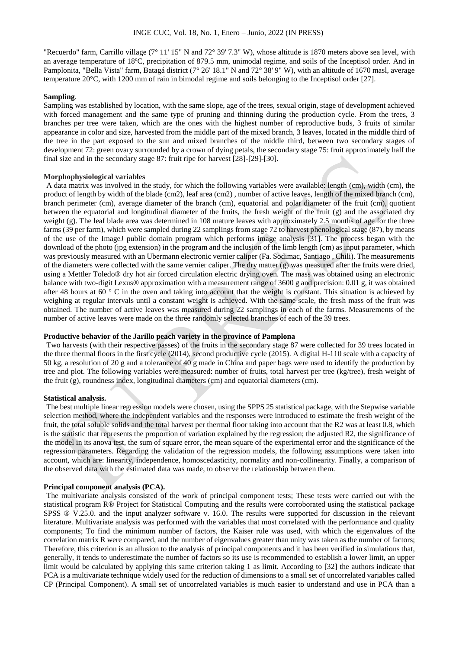"Recuerdo" farm, Carrillo village (7° 11' 15" N and 72° 39' 7.3" W), whose altitude is 1870 meters above sea level, with an average temperature of 18ºC, precipitation of 879.5 mm, unimodal regime, and soils of the Inceptisol order. And in Pamplonita, "Bella Vista" farm, Batagá district (7° 26' 18.1" N and 72° 38' 9" W), with an altitude of 1670 masl, average temperature 20°C, with 1200 mm of rain in bimodal regime and soils belonging to the Inceptisol order [27].

# **Sampling**.

Sampling was established by location, with the same slope, age of the trees, sexual origin, stage of development achieved with forced management and the same type of pruning and thinning during the production cycle. From the trees, 3 branches per tree were taken, which are the ones with the highest number of reproductive buds, 3 fruits of similar appearance in color and size, harvested from the middle part of the mixed branch, 3 leaves, located in the middle third of the tree in the part exposed to the sun and mixed branches of the middle third, between two secondary stages of development 72: green ovary surrounded by a crown of dying petals, the secondary stage 75: fruit approximately half the final size and in the secondary stage 87: fruit ripe for harvest [28]-[29]-[30].

#### **Morphophysiological variables**

A data matrix was involved in the study, for which the following variables were available: length (cm), width (cm), the product of length by width of the blade (cm2), leaf area (cm2) , number of active leaves, length of the mixed branch (cm), branch perimeter (cm), average diameter of the branch (cm), equatorial and polar diameter of the fruit (cm), quotient between the equatorial and longitudinal diameter of the fruits, the fresh weight of the fruit (g) and the associated dry weight (g). The leaf blade area was determined in 108 mature leaves with approximately 2.5 months of age for the three farms (39 per farm), which were sampled during 22 samplings from stage 72 to harvest phenological stage (87), by means of the use of the ImageJ public domain program which performs image analysis [31]. The process began with the download of the photo (jpg extension) in the program and the inclusion of the limb length (cm) as input parameter, which was previously measured with an Ubermann electronic vernier caliper (Fa. Sodimac, Santiago , Chili). The measurements of the diameters were collected with the same vernier caliper. The dry matter (g) was measured after the fruits were dried, using a Mettler Toledo® dry hot air forced circulation electric drying oven. The mass was obtained using an electronic balance with two-digit Lexus® approximation with a measurement range of 3600 g and precision: 0.01 g, it was obtained after 48 hours at 60  $\degree$  C in the oven and taking into account that the weight is constant. This situation is achieved by weighing at regular intervals until a constant weight is achieved. With the same scale, the fresh mass of the fruit was obtained. The number of active leaves was measured during 22 samplings in each of the farms. Measurements of the number of active leaves were made on the three randomly selected branches of each of the 39 trees.

# **Productive behavior of the Jarillo peach variety in the province of Pamplona**

Two harvests (with their respective passes) of the fruits in the secondary stage 87 were collected for 39 trees located in the three thermal floors in the first cycle (2014), second productive cycle (2015). A digital H-110 scale with a capacity of 50 kg, a resolution of 20 g and a tolerance of 40 g made in China and paper bags were used to identify the production by tree and plot. The following variables were measured: number of fruits, total harvest per tree (kg/tree), fresh weight of the fruit (g), roundness index, longitudinal diameters (cm) and equatorial diameters (cm).

# **Statistical analysis.**

The best multiple linear regression models were chosen, using the SPPS 25 statistical package, with the Stepwise variable selection method, where the independent variables and the responses were introduced to estimate the fresh weight of the fruit, the total soluble solids and the total harvest per thermal floor taking into account that the R2 was at least 0.8, which is the statistic that represents the proportion of variation explained by the regression; the adjusted R2, the significance of the model in its anova test, the sum of square error, the mean square of the experimental error and the significance of the regression parameters. Regarding the validation of the regression models, the following assumptions were taken into account, which are: linearity, independence, homoscedasticity, normality and non-collinearity. Finally, a comparison of the observed data with the estimated data was made, to observe the relationship between them.

# **Principal component analysis (PCA).**

The multivariate analysis consisted of the work of principal component tests; These tests were carried out with the statistical program R® Project for Statistical Computing and the results were corroborated using the statistical package SPSS ® V.25.0. and the input analyzer software v. 16.0. The results were supported for discussion in the relevant literature. Multivariate analysis was performed with the variables that most correlated with the performance and quality components; To find the minimum number of factors, the Kaiser rule was used, with which the eigenvalues of the correlation matrix R were compared, and the number of eigenvalues greater than unity was taken as the number of factors; Therefore, this criterion is an allusion to the analysis of principal components and it has been verified in simulations that, generally, it tends to underestimate the number of factors so its use is recommended to establish a lower limit, an upper limit would be calculated by applying this same criterion taking 1 as limit. According to [32] the authors indicate that PCA is a multivariate technique widely used for the reduction of dimensions to a small set of uncorrelated variables called CP (Principal Component). A small set of uncorrelated variables is much easier to understand and use in PCA than a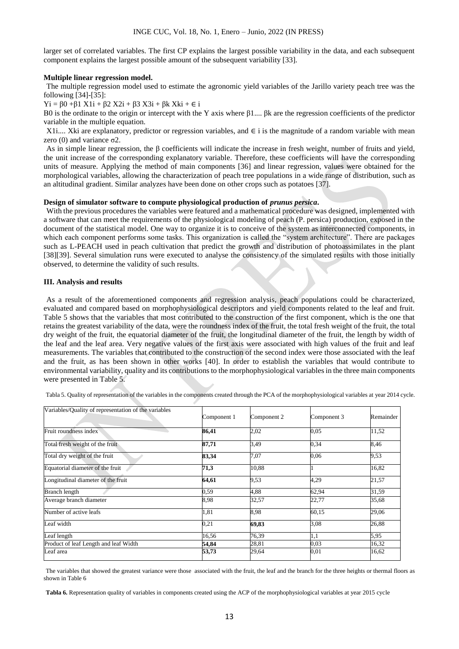larger set of correlated variables. The first CP explains the largest possible variability in the data, and each subsequent component explains the largest possible amount of the subsequent variability [33].

# **Multiple linear regression model.**

The multiple regression model used to estimate the agronomic yield variables of the Jarillo variety peach tree was the following [34]-[35]:

Yi = β0 +β1 X1i + β2 X2i + β3 X3i + βk Xki + ∈ i

Β0 is the ordinate to the origin or intercept with the Y axis where β1.... βk are the regression coefficients of the predictor variable in the multiple equation.

X1i.... Xki are explanatory, predictor or regression variables, and  $\in$  i is the magnitude of a random variable with mean zero (0) and variance σ2.

As in simple linear regression, the β coefficients will indicate the increase in fresh weight, number of fruits and yield, the unit increase of the corresponding explanatory variable. Therefore, these coefficients will have the corresponding units of measure. Applying the method of main components [36] and linear regression, values were obtained for the morphological variables, allowing the characterization of peach tree populations in a wide range of distribution, such as an altitudinal gradient. Similar analyzes have been done on other crops such as potatoes [37].

# **Design of simulator software to compute physiological production of** *prunus persica***.**

With the previous procedures the variables were featured and a mathematical procedure was designed, implemented with a software that can meet the requirements of the physiological modeling of peach (P. persica) production, exposed in the document of the statistical model. One way to organize it is to conceive of the system as interconnected components, in which each component performs some tasks. This organization is called the "system architecture". There are packages such as L-PEACH used in peach cultivation that predict the growth and distribution of photoassimilates in the plant [38][39]. Several simulation runs were executed to analyse the consistency of the simulated results with those initially observed, to determine the validity of such results.

# **III. Analysis and results**

As a result of the aforementioned components and regression analysis, peach populations could be characterized, evaluated and compared based on morphophysiological descriptors and yield components related to the leaf and fruit. Table 5 shows that the variables that most contributed to the construction of the first component, which is the one that retains the greatest variability of the data, were the roundness index of the fruit, the total fresh weight of the fruit, the total dry weight of the fruit, the equatorial diameter of the fruit, the longitudinal diameter of the fruit, the length by width of the leaf and the leaf area. Very negative values of the first axis were associated with high values of the fruit and leaf measurements. The variables that contributed to the construction of the second index were those associated with the leaf and the fruit, as has been shown in other works [40]. In order to establish the variables that would contribute to environmental variability, quality and its contributions to the morphophysiological variables in the three main components were presented in Table 5.

| Variables/Quality of representation of the variables | Component 1 | Component 2 | Component 3 | Remainder |
|------------------------------------------------------|-------------|-------------|-------------|-----------|
| Fruit roundness index                                | 86,41       | 2,02        | 0,05        | 11,52     |
| Total fresh weight of the fruit                      | 87,71       | 3,49        | 0.34        | 8,46      |
| Total dry weight of the fruit                        | 83,34       | 7,07        | 0,06        | 9,53      |
| Equatorial diameter of the fruit                     | 71,3        | 10,88       |             | 16,82     |
| Longitudinal diameter of the fruit                   | 64,61       | 9,53        | 4,29        | 21,57     |
| <b>Branch length</b>                                 | 0,59        | 4,88        | 62,94       | 31,59     |
| Average branch diameter                              | 8,98        | 32,57       | 22,77       | 35,68     |
| Number of active leafs                               | 1,81        | 8,98        | 60,15       | 29,06     |
| Leaf width                                           | 0,21        | 69,83       | 3.08        | 26,88     |
| Leaf length                                          | 16.56       | 76,39       | 1,1         | 5,95      |
| Product of leaf Length and leaf Width                | 54,84       | 28,81       | 0,03        | 16,32     |
| Leaf area                                            | 53,73       | 29,64       | $_{0,01}$   | 16,62     |

Tabla 5. Quality of representation of the variables in the components created through the PCA of the morphophysiological variables at year 2014 cycle.

The variables that showed the greatest variance were those associated with the fruit, the leaf and the branch for the three heights or thermal floors as shown in Table 6

Tabla 6. Representation quality of variables in components created using the ACP of the morphophysiological variables at year 2015 cycle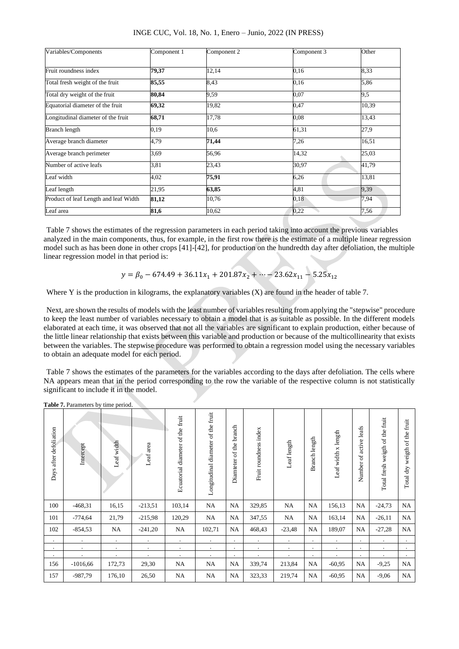| Variables/Components                  | Component 1 | Component 2 | Component 3 | Other |
|---------------------------------------|-------------|-------------|-------------|-------|
| Fruit roundness index                 | 79,37       | 12,14       | 0,16        | 8,33  |
| Total fresh weight of the fruit       | 85,55       | 8.43        | 0.16        | 5,86  |
| Total dry weight of the fruit         | 80,84       | 9,59        | 0,07        | 9,5   |
| Equatorial diameter of the fruit      | 69,32       | 19,82       | 0,47        | 10,39 |
| Longitudinal diameter of the fruit    | 68,71       | 17,78       | 0,08        | 13,43 |
| <b>Branch length</b>                  | 0.19        | 10,6        | 61,31       | 27,9  |
| Average branch diameter               | 4,79        | 71,44       | 7,26        | 16,51 |
| Average branch perimeter              | 3,69        | 56,96       | 14,32       | 25,03 |
| Number of active leafs                | 3,81        | 23,43       | 30,97       | 41,79 |
| Leaf width                            | 4,02        | 75,91       | 6,26        | 13,81 |
| Leaf length                           | 21,95       | 63,85       | 4,81        | 9,39  |
| Product of leaf Length and leaf Width | 81,12       | 10,76       | 0,18        | 7,94  |
| Leaf area                             | 81,6        | 10.62       | 0,22        | 7.56  |

INGE CUC, Vol. 18, No. 1, Enero – Junio, 2022 (IN PRESS)

Table 7 shows the estimates of the regression parameters in each period taking into account the previous variables analyzed in the main components, thus, for example, in the first row there is the estimate of a multiple linear regression model such as has been done in other crops [41]-[42], for production on the hundredth day after defoliation, the multiple linear regression model in that period is:

$$
y = \beta_0 - 674.49 + 36.11x_1 + 201.87x_2 + \dots - 23.62x_{11} - 5.25x_{12}
$$

Where Y is the production in kilograms, the explanatory variables  $(X)$  are found in the header of table 7.

Next, are shown the results of models with the least number of variables resulting from applying the "stepwise" procedure to keep the least number of variables necessary to obtain a model that is as suitable as possible. In the different models elaborated at each time, it was observed that not all the variables are significant to explain production, either because of the little linear relationship that exists between this variable and production or because of the multicollinearity that exists between the variables. The stepwise procedure was performed to obtain a regression model using the necessary variables to obtain an adequate model for each period.

Table 7 shows the estimates of the parameters for the variables according to the days after defoliation. The cells where NA appears mean that in the period corresponding to the row the variable of the respective column is not statistically significant to include it in the model.

| Days after defoliation | Intercept  | $\frac{1}{2}$<br>Leaf width | area<br>Leaf. | Ecuatorial diameter of the fruit | Longitudinal diameter of the fruit | Diamteter of the branch | Fruit roundness index | Leaf length | Branch length | Leaf width x length | Number of active leafs | Total fresh weigth of the fruit | weigth of the fruit<br>Total dry |
|------------------------|------------|-----------------------------|---------------|----------------------------------|------------------------------------|-------------------------|-----------------------|-------------|---------------|---------------------|------------------------|---------------------------------|----------------------------------|
| 100                    | $-468,31$  | 16,15                       | $-213,51$     | 103,14                           | NA                                 | <b>NA</b>               | 329,85                | <b>NA</b>   | <b>NA</b>     | 156,13              | NA                     | $-24,73$                        | NA                               |
| 101                    | $-774,64$  | 21,79                       | $-215,98$     | 120,29                           | NA                                 | NA                      | 347,55                | NA          | NA            | 163,14              | NA                     | $-26,11$                        | NA                               |
| 102                    | $-854,53$  | NA                          | $-241,20$     | NA                               | 102,71                             | <b>NA</b>               | 468,43                | $-23,48$    | <b>NA</b>     | 189,07              | NA                     | $-27,28$                        | NA                               |
| $\bullet$              |            |                             | $\bullet$     | $\bullet$                        | $\bullet$                          | $\bullet$               |                       | $\cdot$     | $\cdot$       |                     | $\bullet$              | $\bullet$                       |                                  |
| $\bullet$              | $\bullet$  |                             | $\cdot$       | $\bullet$                        | $\cdot$                            | ٠                       | ٠                     | $\cdot$     | $\cdot$       | $\cdot$             | ٠                      | $\bullet$                       |                                  |
| $\bullet$              |            |                             | $\cdot$       | ٠                                | $\cdot$                            | ٠                       |                       |             | $\cdot$       |                     |                        |                                 | $\bullet$                        |
| 156                    | $-1016,66$ | 172,73                      | 29,30         | NA                               | NA                                 | NA                      | 339,74                | 213,84      | NA            | $-60,95$            | NA                     | $-9,25$                         | <b>NA</b>                        |
| 157                    | $-987,79$  | 176,10                      | 26,50         | NA                               | NA                                 | NA                      | 323,33                | 219,74      | <b>NA</b>     | $-60,95$            | NA                     | $-9,06$                         | NA                               |

**Table 7.** Parameters by time period.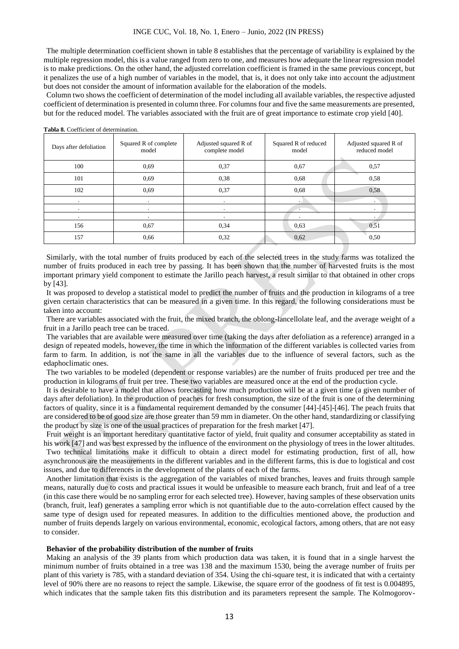#### INGE CUC, Vol. 18, No. 1, Enero – Junio, 2022 (IN PRESS)

The multiple determination coefficient shown in table 8 establishes that the percentage of variability is explained by the multiple regression model, this is a value ranged from zero to one, and measures how adequate the linear regression model is to make predictions. On the other hand, the adjusted correlation coefficient is framed in the same previous concept, but it penalizes the use of a high number of variables in the model, that is, it does not only take into account the adjustment but does not consider the amount of information available for the elaboration of the models.

Column two shows the coefficient of determination of the model including all available variables, the respective adjusted coefficient of determination is presented in column three. For columns four and five the same measurements are presented, but for the reduced model. The variables associated with the fruit are of great importance to estimate crop yield [40].

| Days after defoliation | Squared R of complete<br>model | Adjusted squared R of<br>complete model | Squared R of reduced<br>model | Adjusted squared R of<br>reduced model |
|------------------------|--------------------------------|-----------------------------------------|-------------------------------|----------------------------------------|
| 100                    | 0.69                           | 0,37                                    | 0,67                          | 0,57                                   |
| 101                    | 0.69                           | 0.38                                    | 0.68                          | 0,58                                   |
| 102                    | 0.69                           | 0,37                                    | 0.68                          | 0,58                                   |
| ٠                      | $\bullet$                      | $\bullet$                               |                               | $\cdot$                                |
| $\cdot$                | ٠                              | $\bullet$                               | $\cdot$                       | $\cdot$                                |
|                        |                                |                                         |                               |                                        |
| 156                    | 0,67                           | 0.34                                    | 0.63                          | 0.51                                   |
| 157                    | 0,66                           | 0.32                                    | 0.62                          | 0,50                                   |

**Tabla 8.** Coefficient of determination.

Similarly, with the total number of fruits produced by each of the selected trees in the study farms was totalized the number of fruits produced in each tree by passing. It has been shown that the number of harvested fruits is the most important primary yield component to estimate the Jarillo peach harvest, a result similar to that obtained in other crops by [43].

It was proposed to develop a statistical model to predict the number of fruits and the production in kilograms of a tree given certain characteristics that can be measured in a given time. In this regard, the following considerations must be taken into account:

There are variables associated with the fruit, the mixed branch, the oblong-lancellolate leaf, and the average weight of a fruit in a Jarillo peach tree can be traced.

The variables that are available were measured over time (taking the days after defoliation as a reference) arranged in a design of repeated models, however, the time in which the information of the different variables is collected varies from farm to farm. In addition, is not the same in all the variables due to the influence of several factors, such as the edaphoclimatic ones.

The two variables to be modeled (dependent or response variables) are the number of fruits produced per tree and the production in kilograms of fruit per tree. These two variables are measured once at the end of the production cycle.

It is desirable to have a model that allows forecasting how much production will be at a given time (a given number of days after defoliation). In the production of peaches for fresh consumption, the size of the fruit is one of the determining factors of quality, since it is a fundamental requirement demanded by the consumer [44]-[45]-[46]. The peach fruits that are considered to be of good size are those greater than 59 mm in diameter. On the other hand, standardizing or classifying the product by size is one of the usual practices of preparation for the fresh market [47].

Fruit weight is an important hereditary quantitative factor of yield, fruit quality and consumer acceptability as stated in his work [47] and was best expressed by the influence of the environment on the physiology of trees in the lower altitudes. Two technical limitations make it difficult to obtain a direct model for estimating production, first of all, how asynchronous are the measurements in the different variables and in the different farms, this is due to logistical and cost issues, and due to differences in the development of the plants of each of the farms.

Another limitation that exists is the aggregation of the variables of mixed branches, leaves and fruits through sample means, naturally due to costs and practical issues it would be unfeasible to measure each branch, fruit and leaf of a tree (in this case there would be no sampling error for each selected tree). However, having samples of these observation units (branch, fruit, leaf) generates a sampling error which is not quantifiable due to the auto-correlation effect caused by the same type of design used for repeated measures. In addition to the difficulties mentioned above, the production and number of fruits depends largely on various environmental, economic, ecological factors, among others, that are not easy to consider.

## **Behavior of the probability distribution of the number of fruits**

Making an analysis of the 39 plants from which production data was taken, it is found that in a single harvest the minimum number of fruits obtained in a tree was 138 and the maximum 1530, being the average number of fruits per plant of this variety is 785, with a standard deviation of 354. Using the chi-square test, it is indicated that with a certainty level of 90% there are no reasons to reject the sample. Likewise, the square error of the goodness of fit test is 0.004895, which indicates that the sample taken fits this distribution and its parameters represent the sample. The Kolmogorov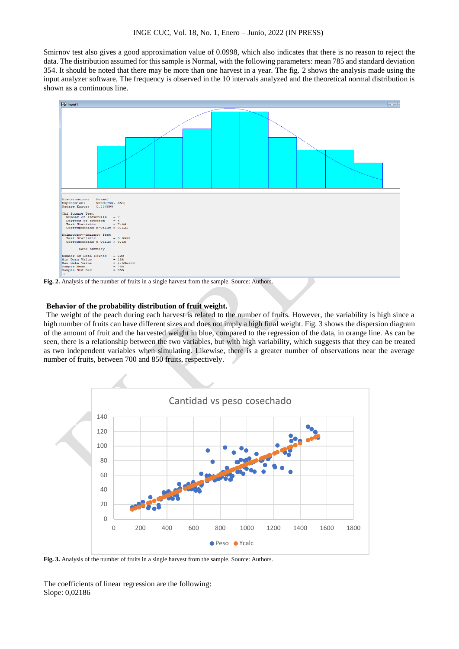Smirnov test also gives a good approximation value of 0.0998, which also indicates that there is no reason to reject the data. The distribution assumed for this sample is Normal, with the following parameters: mean 785 and standard deviation 354. It should be noted that there may be more than one harvest in a year. The fig. 2 shows the analysis made using the input analyzer software. The frequency is observed in the 10 intervals analyzed and the theoretical normal distribution is shown as a continuous line.



# **Behavior of the probability distribution of fruit weight.**

The weight of the peach during each harvest is related to the number of fruits. However, the variability is high since a high number of fruits can have different sizes and does not imply a high final weight. Fig. 3 shows the dispersion diagram of the amount of fruit and the harvested weight in blue, compared to the regression of the data, in orange line. As can be seen, there is a relationship between the two variables, but with high variability, which suggests that they can be treated as two independent variables when simulating. Likewise, there is a greater number of observations near the average number of fruits, between 700 and 850 fruits, respectively.



**Fig. 3.** Analysis of the number of fruits in a single harvest from the sample. Source: Authors.

The coefficients of linear regression are the following: Slope: 0,02186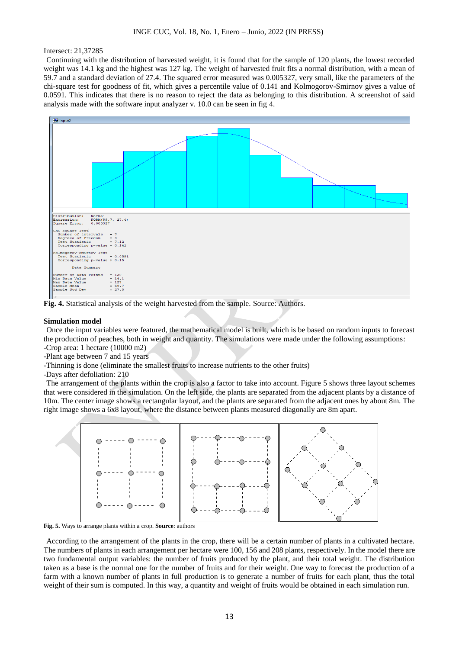#### Intersect: 21,37285

Continuing with the distribution of harvested weight, it is found that for the sample of 120 plants, the lowest recorded weight was 14.1 kg and the highest was 127 kg. The weight of harvested fruit fits a normal distribution, with a mean of 59.7 and a standard deviation of 27.4. The squared error measured was 0.005327, very small, like the parameters of the chi-square test for goodness of fit, which gives a percentile value of 0.141 and Kolmogorov-Smirnov gives a value of 0.0591. This indicates that there is no reason to reject the data as belonging to this distribution. A screenshot of said analysis made with the software input analyzer v. 10.0 can be seen in fig 4.





#### **Simulation model**

Once the input variables were featured, the mathematical model is built, which is be based on random inputs to forecast the production of peaches, both in weight and quantity. The simulations were made under the following assumptions: -Crop area: 1 hectare (10000 m2)

- -Plant age between 7 and 15 years
- -Thinning is done (eliminate the smallest fruits to increase nutrients to the other fruits)

-Days after defoliation: 210

The arrangement of the plants within the crop is also a factor to take into account. Figure 5 shows three layout schemes that were considered in the simulation. On the left side, the plants are separated from the adjacent plants by a distance of 10m. The center image shows a rectangular layout, and the plants are separated from the adjacent ones by about 8m. The right image shows a 6x8 layout, where the distance between plants measured diagonally are 8m apart.



**Fig. 5.** Ways to arrange plants within a crop. **Source**: authors

According to the arrangement of the plants in the crop, there will be a certain number of plants in a cultivated hectare. The numbers of plants in each arrangement per hectare were 100, 156 and 208 plants, respectively. In the model there are two fundamental output variables: the number of fruits produced by the plant, and their total weight. The distribution taken as a base is the normal one for the number of fruits and for their weight. One way to forecast the production of a farm with a known number of plants in full production is to generate a number of fruits for each plant, thus the total weight of their sum is computed. In this way, a quantity and weight of fruits would be obtained in each simulation run.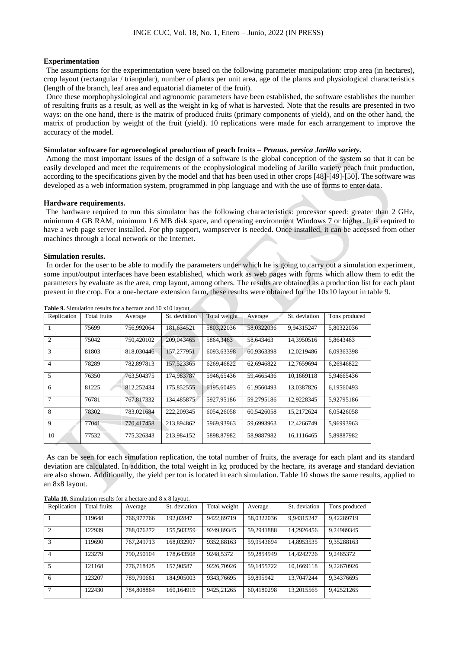### **Experimentation**

The assumptions for the experimentation were based on the following parameter manipulation: crop area (in hectares), crop layout (rectangular / triangular), number of plants per unit area, age of the plants and physiological characteristics (length of the branch, leaf area and equatorial diameter of the fruit).

Once these morphophysiological and agronomic parameters have been established, the software establishes the number of resulting fruits as a result, as well as the weight in kg of what is harvested. Note that the results are presented in two ways: on the one hand, there is the matrix of produced fruits (primary components of yield), and on the other hand, the matrix of production by weight of the fruit (yield). 10 replications were made for each arrangement to improve the accuracy of the model.

# **Simulator software for agroecological production of peach fruits –** *Prunus. persica Jarillo variety***.**

Among the most important issues of the design of a software is the global conception of the system so that it can be easily developed and meet the requirements of the ecophysiological modeling of Jarillo variety peach fruit production, according to the specifications given by the model and that has been used in other crops [48]-[49]-[50]. The software was developed as a web information system, programmed in php language and with the use of forms to enter data.

#### **Hardware requirements.**

The hardware required to run this simulator has the following characteristics: processor speed: greater than 2 GHz, minimum 4 GB RAM, minimum 1.6 MB disk space, and operating environment Windows 7 or higher. It is required to have a web page server installed. For php support, wampserver is needed. Once installed, it can be accessed from other machines through a local network or the Internet.

#### **Simulation results.**

In order for the user to be able to modify the parameters under which he is going to carry out a simulation experiment, some input/output interfaces have been established, which work as web pages with forms which allow them to edit the parameters by evaluate as the area, crop layout, among others. The results are obtained as a production list for each plant present in the crop. For a one-hectare extension farm, these results were obtained for the 10x10 layout in table 9.

| Replication    | <b>Total fruits</b> | Average    | St. deviation | Total weight | Average    | St. deviation | Tons produced |
|----------------|---------------------|------------|---------------|--------------|------------|---------------|---------------|
|                | 75699               | 756,992064 | 181,634521    | 5803,22036   | 58,0322036 | 9,94315247    | 5,80322036    |
| $\overline{c}$ | 75042               | 750,420102 | 209,043465    | 5864,3463    | 58,643463  | 14,3950516    | 5,8643463     |
| 3              | 81803               | 818,030446 | 157.277951    | 6093.63398   | 60.9363398 | 12.0219486    | 6.09363398    |
| 4              | 78289               | 782,897813 | 157,523365    | 6269,46822   | 62,6946822 | 12,7659694    | 6.26946822    |
| 5              | 76350               | 763.504375 | 174,983787    | 5946.65436   | 59.4665436 | 10.1669118    | 5.94665436    |
| 6              | 81225               | 812.252434 | 175,852555    | 6195.60493   | 61.9560493 | 13.0387826    | 6.19560493    |
| 7              | 76781               | 767.817332 | 134,485875    | 5927,95186   | 59.2795186 | 12.9228345    | 5.92795186    |
| 8              | 78302               | 783,021684 | 222.209345    | 6054,26058   | 60.5426058 | 15.2172624    | 6.05426058    |
| 9              | 77041               | 770,417458 | 213,894862    | 5969,93963   | 59,6993963 | 12,4266749    | 5,96993963    |
| 10             | 77532               | 775,326343 | 213.984152    | 5898.87982   | 58.9887982 | 16.1116465    | 5.89887982    |

**Table 9.** Simulation results for a hectare and 10 x10 layout.

As can be seen for each simulation replication, the total number of fruits, the average for each plant and its standard deviation are calculated. In addition, the total weight in kg produced by the hectare, its average and standard deviation are also shown. Additionally, the yield per ton is located in each simulation. Table 10 shows the same results, applied to an 8x8 layout.

**Tabla 10.** Simulation results for a hectare and 8 x 8 layout.

| Replication    | Total fruits | Average    | St. deviation | Total weight | Average    | St. deviation | Tons produced |
|----------------|--------------|------------|---------------|--------------|------------|---------------|---------------|
|                | 119648       | 766,977766 | 192,02847     | 9422,89719   | 58,0322036 | 9.94315247    | 9.42289719    |
| $\mathcal{L}$  | 122939       | 788,076272 | 155,503259    | 9249.89345   | 59.2941888 | 14.2926456    | 9.24989345    |
| 3              | 119690       | 767.249713 | 168.032907    | 9352,88163   | 59,9543694 | 14,8953535    | 9,35288163    |
| $\overline{4}$ | 123279       | 790.250104 | 178,643508    | 9248.5372    | 59.2854949 | 14.4242726    | 9.2485372     |
| 5              | 121168       | 776,718425 | 157,90587     | 9226,70926   | 59.1455722 | 10.1669118    | 9.22670926    |
| 6              | 123207       | 789,790661 | 184,905003    | 9343,76695   | 59.895942  | 13.7047244    | 9.34376695    |
|                | 122430       | 784,808864 | 160.164919    | 9425,21265   | 60.4180298 | 13.2015565    | 9.42521265    |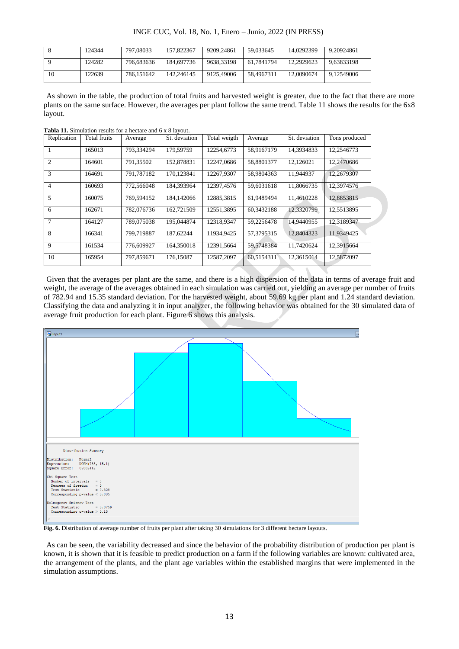INGE CUC, Vol. 18, No. 1, Enero – Junio, 2022 (IN PRESS)

|    | 124344 | 797,08033  | 157.822367 | 9209.24861 | 59.033645  | 14.0292399 | 9.20924861 |
|----|--------|------------|------------|------------|------------|------------|------------|
|    | 124282 | 796.683636 | 184.697736 | 9638.33198 | 61.7841794 | 12.2929623 | 9.63833198 |
| 10 | 122639 | 786.151642 | 142.246145 | 9125.49006 | 58.4967311 | 12.0090674 | 9.12549006 |

As shown in the table, the production of total fruits and harvested weight is greater, due to the fact that there are more plants on the same surface. However, the averages per plant follow the same trend. Table 11 shows the results for the 6x8 layout.

**Tabla 11.** Simulation results for a hectare and 6 x 8 layout.

| Replication    | Total fruits | Average    | St. deviation | Total weigth | Average    | St. deviation | Tons produced |
|----------------|--------------|------------|---------------|--------------|------------|---------------|---------------|
|                | 165013       | 793.334294 | 179.59759     | 12254.6773   | 58.9167179 | 14.3934833    | 12,2546773    |
| $\overline{2}$ | 164601       | 791,35502  | 152,878831    | 12247.0686   | 58,8801377 | 12,126021     | 12,2470686    |
| 3              | 164691       | 791.787182 | 170.123841    | 12267.9307   | 58,9804363 | 11.944937     | 12.2679307    |
| $\overline{4}$ | 160693       | 772,566048 | 184,393964    | 12397,4576   | 59,6031618 | 11,8066735    | 12,3974576    |
| 5              | 160075       | 769.594152 | 184.142066    | 12885.3815   | 61.9489494 | 11.4610228    | 12.8853815    |
| 6              | 162671       | 782,076736 | 162,721509    | 12551,3895   | 60,3432188 | 12,3320799    | 12,5513895    |
| $\overline{7}$ | 164127       | 789,075038 | 195,044874    | 12318.9347   | 59,2256478 | 14.9440955    | 12.3189347    |
| 8              | 166341       | 799.719887 | 187,62244     | 11934.9425   | 57,3795315 | 12.8404323    | 11.9349425    |
| 9              | 161534       | 776,609927 | 164,350018    | 12391,5664   | 59,5748384 | 11,7420624    | 12,3915664    |
| 10             | 165954       | 797,859671 | 176,15087     | 12587,2097   | 60,5154311 | 12,3615014    | 12,5872097    |

Given that the averages per plant are the same, and there is a high dispersion of the data in terms of average fruit and weight, the average of the averages obtained in each simulation was carried out, yielding an average per number of fruits of 782.94 and 15.35 standard deviation. For the harvested weight, about 59.69 kg per plant and 1.24 standard deviation. Classifying the data and analyzing it in input analyzer, the following behavior was obtained for the 30 simulated data of average fruit production for each plant. Figure 6 shows this analysis.



**Fig. 6.** Distribution of average number of fruits per plant after taking 30 simulations for 3 different hectare layouts.

As can be seen, the variability decreased and since the behavior of the probability distribution of production per plant is known, it is shown that it is feasible to predict production on a farm if the following variables are known: cultivated area, the arrangement of the plants, and the plant age variables within the established margins that were implemented in the simulation assumptions.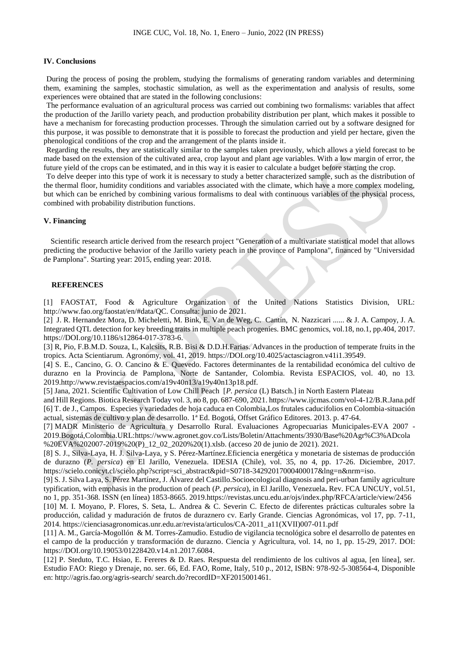# **IV. Conclusions**

During the process of posing the problem, studying the formalisms of generating random variables and determining them, examining the samples, stochastic simulation, as well as the experimentation and analysis of results, some experiences were obtained that are stated in the following conclusions:

The performance evaluation of an agricultural process was carried out combining two formalisms: variables that affect the production of the Jarillo variety peach, and production probability distribution per plant, which makes it possible to have a mechanism for forecasting production processes. Through the simulation carried out by a software designed for this purpose, it was possible to demonstrate that it is possible to forecast the production and yield per hectare, given the phenological conditions of the crop and the arrangement of the plants inside it.

Regarding the results, they are statistically similar to the samples taken previously, which allows a yield forecast to be made based on the extension of the cultivated area, crop layout and plant age variables. With a low margin of error, the future yield of the crops can be estimated, and in this way it is easier to calculate a budget before starting the crop.

To delve deeper into this type of work it is necessary to study a better characterized sample, such as the distribution of the thermal floor, humidity conditions and variables associated with the climate, which have a more complex modeling, but which can be enriched by combining various formalisms to deal with continuous variables of the physical process, combined with probability distribution functions.

# **V. Financing**

 Scientific research article derived from the research project "Generation of a multivariate statistical model that allows predicting the productive behavior of the Jarillo variety peach in the province of Pamplona", financed by "Universidad de Pamplona". Starting year: 2015, ending year: 2018.

# **REFERENCES**

[1] FAOSTAT, Food & Agriculture Organization of the United Nations Statistics Division, URL: http://www.fao.org/faostat/en/#data/QC. Consulta: junio de 2021.

[2] J. R. Hernandez Mora, D. Micheletti, M. Bink, E. Van de Weg, C. Cantín, N. Nazzicari ...... & J. A. Campoy, J. A. Integrated QTL detection for key breeding traits in multiple peach progenies. BMC genomics, vol.18, no.1, pp.404, 2017. [https://DOI.org/10.1186/s12864-017-3783-6.](https://doi.org/10.1186/s12864-017-3783-6)

[3] R, Pio, F.B.M.D. Souza, L, Kalcsits, R.B. Bisi & D.D.H.Farias. Advances in the production of temperate fruits in the tropics. Acta Scientiarum. Agronomy, vol. 41, 2019[. https://DOI.org/10.4025/actasciagron.v41i1.39549.](https://doi.org/10.4025/actasciagron.v41i1.39549)

[4] S. E., Cancino, G. O. Cancino & E. Quevedo. Factores determinantes de la rentabilidad económica del cultivo de durazno en la Provincia de Pamplona, Norte de Santander, Colombia. Revista ESPACIOS, vol. 40, no 13. 2019.http://www.revistaespacios.com/a19v40n13/a19v40n13p18.pdf.

[5] Jana, 2021. Scientific Cultivation of Low Chill Peach [*P. persica* (L) Batsch.] in North Eastern Plateau

and Hill Regions. Biotica Research Today vol. 3, no 8, pp. 687-690, 2021. https://www.ijcmas.com/vol-4-12/B.R.Jana.pdf [6] T. de J., Campos. Especies y variedades de hoja caduca en Colombia,Los frutales caducifolios en Colombia-situación actual, sistemas de cultivo y plan de desarrollo. 1ª Ed. Bogotá, Offset Gráfico Editores. 2013. p. 47-64.

[7] MADR Ministerio de Agricultura y Desarrollo Rural. Evaluaciones Agropecuarias Municipales-EVA 2007 - 2019.Bogotá,Colombia.URL:https://www.agronet.gov.co/Lists/Boletin/Attachments/3930/Base%20Agr%C3%ADcola %20EVA%202007-2019%20(P)\_12\_02\_2020%20(1).xlsb. (acceso 20 de junio de 2021). 2021.

[8] S. J., Silva-Laya, H. J. Silva-Laya, y S. Pérez-Martínez.Eficiencia energética y monetaria de sistemas de producción de durazno (*P. persica*) en El Jarillo, Venezuela. IDESIA (Chile), vol. 35, no 4, pp. 17-26. Diciembre, 2017. https://scielo.conicyt.cl/scielo.php?script=sci\_abstract&pid=S0718-34292017000400017&lng=n&nrm=iso.

[9] S. J. Silva Laya, S. Pérez Martínez, J. Álvarez del Castillo.Socioecological diagnosis and peri-urban family agriculture typification, with emphasis in the production of peach (*P. persica*), in El Jarillo, Venezuela**.** Rev. FCA UNCUY, vol.51, no 1, pp. 351-368. ISSN (en línea) 1853-8665. 2019.https://revistas.uncu.edu.ar/ojs/index.php/RFCA/article/view/2456

[10] M. I. Moyano, P. Flores, S. Seta, L. Andrea & C. Severin C. Efecto de diferentes prácticas culturales sobre la producción, calidad y maduración de frutos de duraznero cv. Early Grande. Ciencias Agronómicas, vol 17, pp. 7-11, 2014. https://cienciasagronomicas.unr.edu.ar/revista/articulos/CA-2011\_a11(XVII)007-011.pdf

[11] A. M., García-Mogollón & M. Torres-Zamudio. Estudio de vigilancia tecnológica sobre el desarrollo de patentes en el campo de la producción y transformación de durazno. Ciencia y Agricultura, vol. 14, no 1, pp. 15-29, 2017. DOI: https://DOI.org/10.19053/01228420.v14.n1.2017.6084.

[12] P. Steduto, T.C. Hsiao, E. Fereres & D. Raes. Respuesta del rendimiento de los cultivos al agua, [en línea], ser. Estudio FAO: Riego y Drenaje, no. ser. 66, Ed. FAO, Rome, Italy, 510 p., 2012, ISBN: 978-92-5-308564-4, Disponible en: http://agris.fao.org/agris-search/ search.do?recordID=XF2015001461.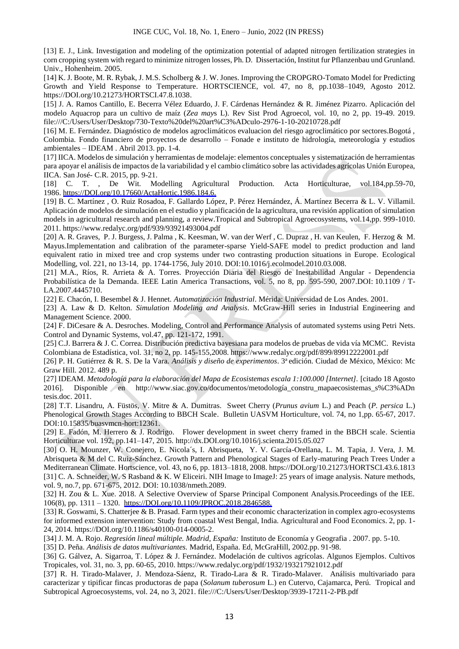[13] E. J., Link. Investigation and modeling of the optimization potential of adapted nitrogen fertilization strategies in corn cropping system with regard to minimize nitrogen losses, Ph. D. Dissertación, Institut fur Pflanzenbau und Grunland. Univ., Hohenheim. 2005.

[14] K. J. Boote, M. R. Rybak, J. M.S. Scholberg & J. W. Jones. Improving the CROPGRO-Tomato Model for Predicting Growth and Yield Response to Temperature. HORTSCIENCE, vol. 47, no 8, pp.1038–1049, Agosto 2012. [https://DOI.org/10.21273/HORTSCI.47.8.1038.](https://doi.org/10.21273/HORTSCI.47.8.1038)

[15] J. A. Ramos Cantillo, E. Becerra Vélez Eduardo, J. F. Cárdenas Hernández & R. Jiménez Pizarro. Aplicación del modelo Aquacrop para un cultivo de maíz (*Zea may*s L). Rev Sist Prod Agroecol, vol. 10, no 2, pp. 19-49. 2019. file:///C:/Users/User/Desktop/730-Texto%20del%20art%C3%ADculo-2976-1-10-20210728.pdf

[16] M. E. Fernández. Diagnóstico de modelos agroclimáticos evaluacion del riesgo agroclimático por sectores.Bogotá , Colombia. Fondo financiero de proyectos de desarrollo – Fonade e instituto de hidrología, meteorología y estudios ambientales – IDEAM . Abril 2013. pp. 1-4.

[17] IICA. Modelos de simulación y herramientas de modelaje: elementos conceptuales y sistematización de herramientas para apoyar el análisis de impactos de la variabilidad y el cambio climático sobre las actividades agrícolas Unión Europea, IICA. San José- C.R. 2015, pp. 9-21.

[18] C. T. , De Wit. Modelling Agricultural Production. Acta Horticulturae, vol.184,pp.59-70, 1986. [https://DOI.org/10.17660/ActaHortic.1986.184.6.](https://doi.org/10.17660/ActaHortic.1986.184.6.)

[19] B. C. Martínez , O. Ruiz Rosadoa, F. Gallardo López, P. Pérez Hernández, Á. Martínez Becerra & L. V. Villamil. Aplicación de modelos de simulación en el estudio y planificación de la agricultura, una revisión application of simulation models in agricultural research and planning, a review.Tropical and Subtropical Agroecosystems, vol.14,pp. 999-1010. 2011. https://www.redalyc.org/pdf/939/93921493004.pdf

[20] A. R. Graves, P. J. Burgess, J. Palma , K. Keesman, W. van der Werf , C. Dupraz , H. van Keulen, F. Herzog & M. Mayus.Implementation and calibration of the parameter-sparse Yield-SAFE model to predict production and land equivalent ratio in mixed tree and crop systems under two contrasting production situations in Europe. Ecological Modelling, vol. 221, no 13-14, pp. 1744-1756, July 2010. DOI:10.1016/j.ecolmodel.2010.03.008.

[21] M.A., Ríos, R. Arrieta & A. Torres. Proyección Diaria del Riesgo de Inestabilidad Angular - Dependencia Probabilística de la Demanda. IEEE Latin America Transactions, vol. 5, no 8, pp. 595-590, 2007.DOI: [10.1109 / T-](http://dx.doi.org/10.1109/T-LA.2007.4445710)[LA.2007.4445710.](http://dx.doi.org/10.1109/T-LA.2007.4445710)

[22] E. Chacón, I. Besembel & J. Hennet. *Automatización Industrial*. Mérida: Universidad de Los Andes. 2001.

[23] A. Law & D. Kelton. *Simulation Modeling and Analysis*. McGraw-Hill series in Industrial Engineering and Management Science. 2000.

[24] F. DiCesare & A. Desroches. Modeling, Control and Performance Analysis of automated systems using Petri Nets. Control and Dynamic Systems, vol.47, pp. 121-172, 1991.

[25] C.J. Barrera & J. C. Correa. Distribución predictiva bayesiana para modelos de pruebas de vida vía MCMC. Revista Colombiana de Estadística, vol. 31, no 2, pp. 145-155,2008. https://www.redalyc.org/pdf/899/89912222001.pdf

[26] P. H. Gutiérrez & R. S. De la Vara. *Análisis y diseño de experimentos*. 3ª edición. Ciudad de México, México: Mc Graw Hill. 2012. 489 p.

[27] IDEAM. *Metodología para la elaboración del Mapa de Ecosistemas escala 1:100.000 [Internet].* [citado 18 Agosto 2016]. Disponible en http://www.siac.gov.co/documentos/metodología\_constru\_mapaecosistemas\_s%C3%ADn tesis.doc. 2011.

[28] T.T. Lisandru, A. Füstös, V. Mitre & A. Dumitras. Sweet Cherry (*Prunus avium* L.) and Peach (*P. persica* L.) Phenological Growth Stages According to BBCH Scale. Bulletin UASVM Horticulture, vol. 74, no 1,pp. 65-67, 2017. DOI:10.15835/buasvmcn-hort:12361.

[29] E. Fadón, M. Herrero & J. Rodrigo. Flower development in sweet cherry framed in the BBCH scale. Scientia Horticulturae vol. 192, pp.141–147, 2015. [http://dx.DOI.org/10.1016/j.scienta.2015.05.027](http://dx.doi.org/10.1016/j.scienta.2015.05.027)

[30] O. H. Mounzer, W. Conejero, E. Nicola´s, I. Abrisqueta, Y. V. García-Orellana, L. M. Tapia, J. Vera, J. M. Abrisqueta & M del C. Ruiz-Sánchez. Growth Pattern and Phenological Stages of Early-maturing Peach Trees Under a Mediterranean Climate. Hortscience, vol. 43, no 6, pp. 1813–1818, 2008. [https://DOI.org/10.21273/HORTSCI.43.6.1813](https://doi.org/10.21273/HORTSCI.43.6.1813) [31] C. A. Schneider, W. S Rasband & K. W Eliceiri. NIH Image to ImageJ: 25 years of image analysis. Nature methods, vol. 9, no.7, pp. 671-675, 2012. DOI: 10.1038/nmeth.2089.

[32] H. Zou & L. Xue. 2018. A Selective Overview of Sparse Principal Component Analysis.Proceedings of the IEE. 106(8), pp. 1311 – 1320. [https://DOI.org/10.1109/JPROC.2018.2846588.](https://doi.org/10.1109/JPROC.2018.2846588.)

[33] R. Goswami, S. Chatterjee & B. Prasad. Farm types and their economic characterization in complex agro-ecosystems for informed extension intervention: Study from coastal West Bengal, India. Agricultural and Food Economics. 2, pp. 1- 24, 2014. https://DOI.org/10.1186/s40100-014-0005-2.

[34] J. M. A. Rojo. *Regresión lineal múltiple. Madrid, España:* Instituto de Economía y Geografia . 2007. pp. 5-10.

[35] D. Peña. *Análisis de datos multivariantes.* Madrid, España. Ed, McGraHill, 2002.pp. 91-98.

[36] G. Gálvez, A. Sigarroa, T. López & J. Fernández. Modelación de cultivos agrícolas. Algunos Ejemplos. Cultivos Tropicales, vol. 31, no. 3, pp. 60-65, 2010. https://www.redalyc.org/pdf/1932/193217921012.pdf

[37] R. H. Tirado-Malaver, J. Mendoza-Sáenz, R. Tirado-Lara & R. Tirado-Malaver. Análisis multivariado para caracterizar y tipificar fincas productoras de papa (*Solanum tuberosum* L.) en Cutervo, Cajamarca, Perú. Tropical and Subtropical Agroecosystems, vol. 24, no 3, 2021. file:///C:/Users/User/Desktop/3939-17211-2-PB.pdf